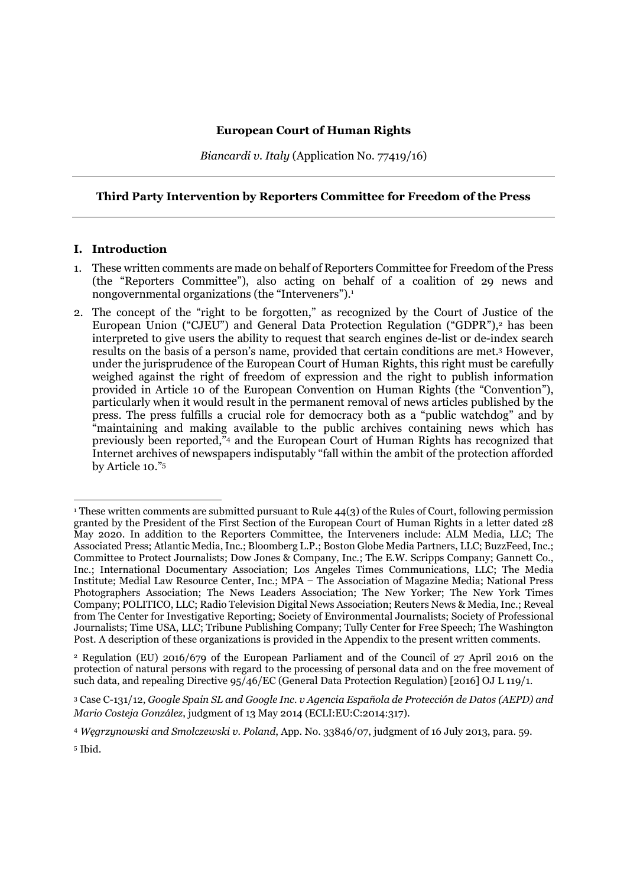Biancardi v. Italy (Application No. 77419/16)

#### Third Party Intervention by Reporters Committee for Freedom of the Press

#### I. Introduction

- 1. These written comments are made on behalf of Reporters Committee for Freedom of the Press (the "Reporters Committee"), also acting on behalf of a coalition of 29 news and nongovernmental organizations (the "Interveners").<sup>1</sup>
- 2. The concept of the "right to be forgotten," as recognized by the Court of Justice of the European Union ("CJEU") and General Data Protection Regulation ("GDPR"),<sup>2</sup> has been interpreted to give users the ability to request that search engines de-list or de-index search results on the basis of a person's name, provided that certain conditions are met.<sup>3</sup> However, under the jurisprudence of the European Court of Human Rights, this right must be carefully weighed against the right of freedom of expression and the right to publish information provided in Article 10 of the European Convention on Human Rights (the "Convention"), particularly when it would result in the permanent removal of news articles published by the press. The press fulfills a crucial role for democracy both as a "public watchdog" and by "maintaining and making available to the public archives containing news which has previously been reported,"<sup>4</sup> and the European Court of Human Rights has recognized that Internet archives of newspapers indisputably "fall within the ambit of the protection afforded by Article 10."<sup>5</sup>

<sup>2</sup> Regulation (EU) 2016/679 of the European Parliament and of the Council of 27 April 2016 on the protection of natural persons with regard to the processing of personal data and on the free movement of such data, and repealing Directive 95/46/EC (General Data Protection Regulation) [2016] OJ L 119/1.

<sup>1</sup> These written comments are submitted pursuant to Rule 44(3) of the Rules of Court, following permission granted by the President of the First Section of the European Court of Human Rights in a letter dated 28 May 2020. In addition to the Reporters Committee, the Interveners include: ALM Media, LLC; The Associated Press; Atlantic Media, Inc.; Bloomberg L.P.; Boston Globe Media Partners, LLC; BuzzFeed, Inc.; Committee to Protect Journalists; Dow Jones & Company, Inc.; The E.W. Scripps Company; Gannett Co., Inc.; International Documentary Association; Los Angeles Times Communications, LLC; The Media Institute; Medial Law Resource Center, Inc.; MPA ̶ The Association of Magazine Media; National Press Photographers Association; The News Leaders Association; The New Yorker; The New York Times Company; POLITICO, LLC; Radio Television Digital News Association; Reuters News & Media, Inc.; Reveal from The Center for Investigative Reporting; Society of Environmental Journalists; Society of Professional Journalists; Time USA, LLC; Tribune Publishing Company; Tully Center for Free Speech; The Washington Post. A description of these organizations is provided in the Appendix to the present written comments.

<sup>3</sup> Case C-131/12, Google Spain SL and Google Inc. v Agencia Española de Protección de Datos (AEPD) and Mario Costeja González, judgment of 13 May 2014 (ECLI:EU:C:2014:317).

<sup>4</sup> Węgrzynowski and Smolczewski v. Poland, App. No. 33846/07, judgment of 16 July 2013, para. 59.

<sup>5</sup> Ibid.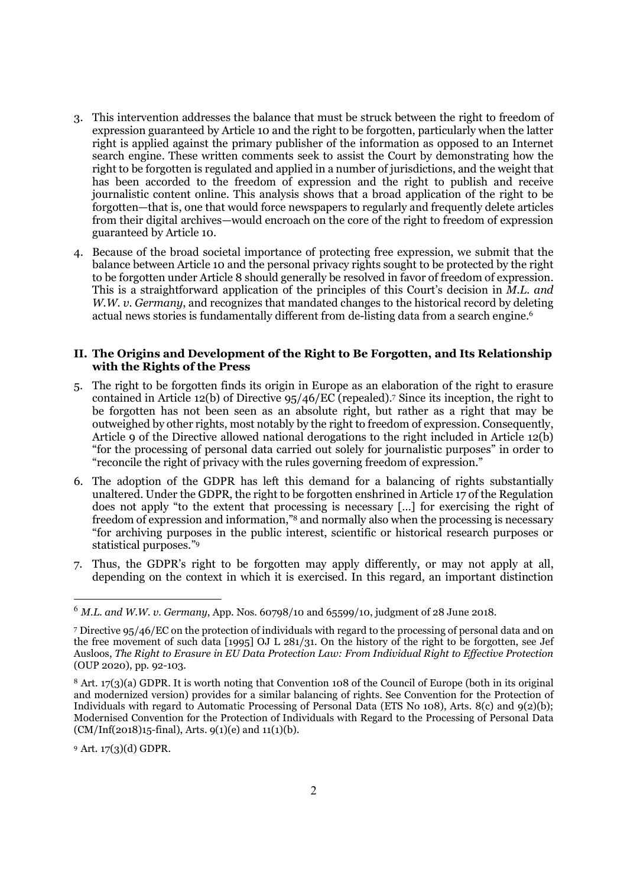- 3. This intervention addresses the balance that must be struck between the right to freedom of expression guaranteed by Article 10 and the right to be forgotten, particularly when the latter right is applied against the primary publisher of the information as opposed to an Internet search engine. These written comments seek to assist the Court by demonstrating how the right to be forgotten is regulated and applied in a number of jurisdictions, and the weight that has been accorded to the freedom of expression and the right to publish and receive journalistic content online. This analysis shows that a broad application of the right to be forgotten—that is, one that would force newspapers to regularly and frequently delete articles from their digital archives—would encroach on the core of the right to freedom of expression guaranteed by Article 10.
- 4. Because of the broad societal importance of protecting free expression, we submit that the balance between Article 10 and the personal privacy rights sought to be protected by the right to be forgotten under Article 8 should generally be resolved in favor of freedom of expression. This is a straightforward application of the principles of this Court's decision in M.L. and W.W. v. Germany, and recognizes that mandated changes to the historical record by deleting actual news stories is fundamentally different from de-listing data from a search engine.<sup>6</sup>

#### II. The Origins and Development of the Right to Be Forgotten, and Its Relationship with the Rights of the Press

- 5. The right to be forgotten finds its origin in Europe as an elaboration of the right to erasure contained in Article 12(b) of Directive 95/46/EC (repealed).<sup>7</sup> Since its inception, the right to be forgotten has not been seen as an absolute right, but rather as a right that may be outweighed by other rights, most notably by the right to freedom of expression. Consequently, Article 9 of the Directive allowed national derogations to the right included in Article 12(b) "for the processing of personal data carried out solely for journalistic purposes" in order to "reconcile the right of privacy with the rules governing freedom of expression."
- 6. The adoption of the GDPR has left this demand for a balancing of rights substantially unaltered. Under the GDPR, the right to be forgotten enshrined in Article 17 of the Regulation does not apply "to the extent that processing is necessary […] for exercising the right of freedom of expression and information,"8 and normally also when the processing is necessary "for archiving purposes in the public interest, scientific or historical research purposes or statistical purposes."<sup>9</sup>
- 7. Thus, the GDPR's right to be forgotten may apply differently, or may not apply at all, depending on the context in which it is exercised. In this regard, an important distinction

<sup>9</sup> Art. 17(3)(d) GDPR.

 $^{6}$  *M.L. and W.W. v. Germany, App. Nos.* 60798/10 and 65599/10, judgment of 28 June 2018.

<sup>7</sup> Directive 95/46/EC on the protection of individuals with regard to the processing of personal data and on the free movement of such data [1995] OJ L 281/31. On the history of the right to be forgotten, see Jef Ausloos, The Right to Erasure in EU Data Protection Law: From Individual Right to Effective Protection (OUP 2020), pp. 92-103.

<sup>8</sup> Art. 17(3)(a) GDPR. It is worth noting that Convention 108 of the Council of Europe (both in its original and modernized version) provides for a similar balancing of rights. See Convention for the Protection of Individuals with regard to Automatic Processing of Personal Data (ETS No 108), Arts. 8(c) and 9(2)(b); Modernised Convention for the Protection of Individuals with Regard to the Processing of Personal Data  $(CM/Inf(2018)15$ -final), Arts. 9(1)(e) and 11(1)(b).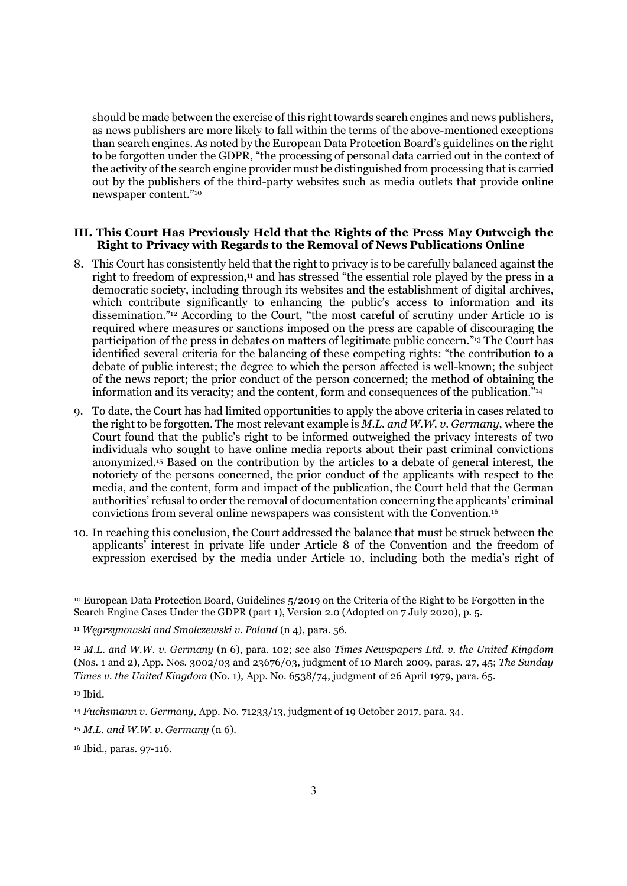should be made between the exercise of this right towards search engines and news publishers, as news publishers are more likely to fall within the terms of the above-mentioned exceptions than search engines. As noted by the European Data Protection Board's guidelines on the right to be forgotten under the GDPR, "the processing of personal data carried out in the context of the activity of the search engine provider must be distinguished from processing that is carried out by the publishers of the third-party websites such as media outlets that provide online newspaper content."<sup>10</sup>

#### III. This Court Has Previously Held that the Rights of the Press May Outweigh the Right to Privacy with Regards to the Removal of News Publications Online

- 8. This Court has consistently held that the right to privacy is to be carefully balanced against the right to freedom of expression,<sup>11</sup> and has stressed "the essential role played by the press in a democratic society, including through its websites and the establishment of digital archives, which contribute significantly to enhancing the public's access to information and its dissemination."12 According to the Court, "the most careful of scrutiny under Article 10 is required where measures or sanctions imposed on the press are capable of discouraging the participation of the press in debates on matters of legitimate public concern."13 The Court has identified several criteria for the balancing of these competing rights: "the contribution to a debate of public interest; the degree to which the person affected is well-known; the subject of the news report; the prior conduct of the person concerned; the method of obtaining the information and its veracity; and the content, form and consequences of the publication."<sup>14</sup>
- 9. To date, the Court has had limited opportunities to apply the above criteria in cases related to the right to be forgotten. The most relevant example is  $M.L.$  and  $W.W.$  v. Germany, where the Court found that the public's right to be informed outweighed the privacy interests of two individuals who sought to have online media reports about their past criminal convictions anonymized.15 Based on the contribution by the articles to a debate of general interest, the notoriety of the persons concerned, the prior conduct of the applicants with respect to the media, and the content, form and impact of the publication, the Court held that the German authorities' refusal to order the removal of documentation concerning the applicants' criminal convictions from several online newspapers was consistent with the Convention.<sup>16</sup>
- 10. In reaching this conclusion, the Court addressed the balance that must be struck between the applicants' interest in private life under Article 8 of the Convention and the freedom of expression exercised by the media under Article 10, including both the media's right of

<sup>10</sup> European Data Protection Board, Guidelines 5/2019 on the Criteria of the Right to be Forgotten in the Search Engine Cases Under the GDPR (part 1), Version 2.0 (Adopted on 7 July 2020), p. 5.

<sup>11</sup> Węgrzynowski and Smolczewski v. Poland (n 4), para. 56.

<sup>&</sup>lt;sup>12</sup> M.L. and W.W. v. Germany (n 6), para. 102; see also Times Newspapers Ltd. v. the United Kingdom (Nos. 1 and 2), App. Nos. 3002/03 and 23676/03, judgment of 10 March 2009, paras. 27, 45; The Sunday Times v. the United Kingdom (No. 1), App. No. 6538/74, judgment of 26 April 1979, para. 65.

<sup>13</sup> Ibid.

<sup>14</sup> Fuchsmann v. Germany, App. No. 71233/13, judgment of 19 October 2017, para. 34.

 $15$  M.L. and W.W. v. Germany (n 6).

<sup>16</sup> Ibid., paras. 97-116.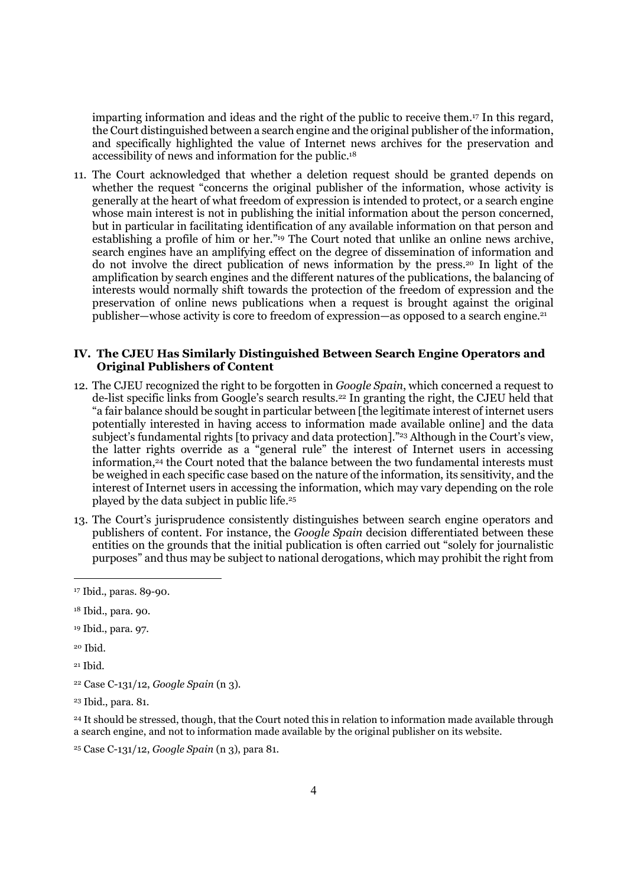imparting information and ideas and the right of the public to receive them.17 In this regard, the Court distinguished between a search engine and the original publisher of the information, and specifically highlighted the value of Internet news archives for the preservation and accessibility of news and information for the public.<sup>18</sup>

11. The Court acknowledged that whether a deletion request should be granted depends on whether the request "concerns the original publisher of the information, whose activity is generally at the heart of what freedom of expression is intended to protect, or a search engine whose main interest is not in publishing the initial information about the person concerned, but in particular in facilitating identification of any available information on that person and establishing a profile of him or her."19 The Court noted that unlike an online news archive, search engines have an amplifying effect on the degree of dissemination of information and do not involve the direct publication of news information by the press.20 In light of the amplification by search engines and the different natures of the publications, the balancing of interests would normally shift towards the protection of the freedom of expression and the preservation of online news publications when a request is brought against the original publisher—whose activity is core to freedom of expression—as opposed to a search engine.<sup>21</sup>

#### IV. The CJEU Has Similarly Distinguished Between Search Engine Operators and Original Publishers of Content

- 12. The CJEU recognized the right to be forgotten in Google Spain, which concerned a request to de-list specific links from Google's search results.22 In granting the right, the CJEU held that "a fair balance should be sought in particular between [the legitimate interest of internet users potentially interested in having access to information made available online] and the data subject's fundamental rights [to privacy and data protection]."23 Although in the Court's view, the latter rights override as a "general rule" the interest of Internet users in accessing information,<sup>24</sup> the Court noted that the balance between the two fundamental interests must be weighed in each specific case based on the nature of the information, its sensitivity, and the interest of Internet users in accessing the information, which may vary depending on the role played by the data subject in public life.<sup>25</sup>
- 13. The Court's jurisprudence consistently distinguishes between search engine operators and publishers of content. For instance, the Google Spain decision differentiated between these entities on the grounds that the initial publication is often carried out "solely for journalistic purposes" and thus may be subject to national derogations, which may prohibit the right from

<sup>20</sup> Ibid.

-

<sup>21</sup> Ibid.

<sup>24</sup> It should be stressed, though, that the Court noted this in relation to information made available through a search engine, and not to information made available by the original publisher on its website.

25 Case C-131/12, Google Spain (n 3), para 81.

<sup>17</sup> Ibid., paras. 89-90.

<sup>18</sup> Ibid., para. 90.

<sup>19</sup> Ibid., para. 97.

 $22$  Case C-131/12, Google Spain (n 3).

<sup>23</sup> Ibid., para. 81.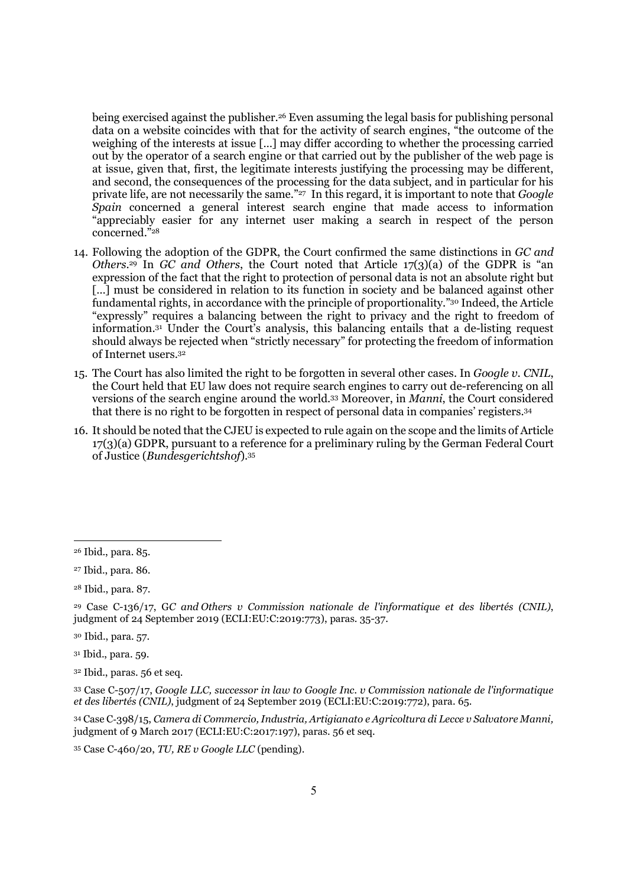being exercised against the publisher.26 Even assuming the legal basis for publishing personal data on a website coincides with that for the activity of search engines, "the outcome of the weighing of the interests at issue […] may differ according to whether the processing carried out by the operator of a search engine or that carried out by the publisher of the web page is at issue, given that, first, the legitimate interests justifying the processing may be different, and second, the consequences of the processing for the data subject, and in particular for his private life, are not necessarily the same."<sup>27</sup> In this regard, it is important to note that *Google* Spain concerned a general interest search engine that made access to information "appreciably easier for any internet user making a search in respect of the person concerned."<sup>28</sup>

- 14. Following the adoption of the GDPR, the Court confirmed the same distinctions in GC and Others.<sup>29</sup> In GC and Others, the Court noted that Article  $17(3)(a)$  of the GDPR is "an expression of the fact that the right to protection of personal data is not an absolute right but [...] must be considered in relation to its function in society and be balanced against other fundamental rights, in accordance with the principle of proportionality."30 Indeed, the Article "expressly" requires a balancing between the right to privacy and the right to freedom of information.31 Under the Court's analysis, this balancing entails that a de-listing request should always be rejected when "strictly necessary" for protecting the freedom of information of Internet users.<sup>32</sup>
- 15. The Court has also limited the right to be forgotten in several other cases. In Google v. CNIL, the Court held that EU law does not require search engines to carry out de-referencing on all versions of the search engine around the world.33 Moreover, in Manni, the Court considered that there is no right to be forgotten in respect of personal data in companies' registers.<sup>34</sup>
- 16. It should be noted that the CJEU is expected to rule again on the scope and the limits of Article 17(3)(a) GDPR, pursuant to a reference for a preliminary ruling by the German Federal Court of Justice (Bundesgerichtshof).<sup>35</sup>

-

<sup>34</sup> Case C‑398/15, Camera di Commercio, Industria, Artigianato e Agricoltura di Lecce v Salvatore Manni, judgment of 9 March 2017 (ECLI:EU:C:2017:197), paras. 56 et seq.

35 Case C-460/20, TU, RE v Google LLC (pending).

<sup>26</sup> Ibid., para. 85.

<sup>27</sup> Ibid., para. 86.

<sup>28</sup> Ibid., para. 87.

<sup>29</sup> Case C-136/17, GC and Others v Commission nationale de l'informatique et des libertés (CNIL), judgment of 24 September 2019 (ECLI:EU:C:2019:773), paras. 35-37.

<sup>30</sup> Ibid., para. 57.

<sup>31</sup> Ibid., para. 59.

<sup>32</sup> Ibid., paras. 56 et seq.

<sup>33</sup> Case C-507/17, Google LLC, successor in law to Google Inc. v Commission nationale de l'informatique et des libertés (CNIL), judgment of 24 September 2019 (ECLI:EU:C:2019:772), para. 65.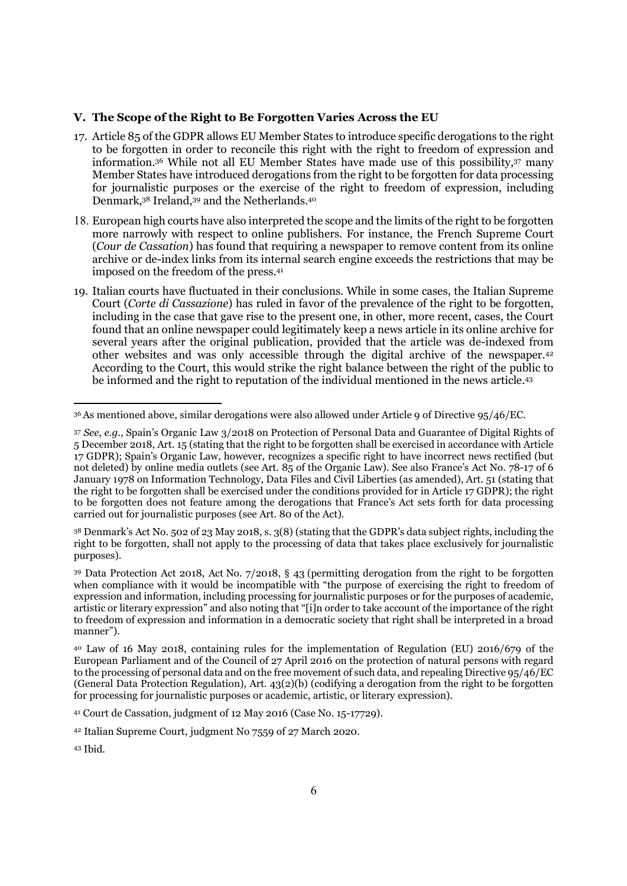#### V. The Scope of the Right to Be Forgotten Varies Across the EU

- 17. Article 85 of the GDPR allows EU Member States to introduce specific derogations to the right to be forgotten in order to reconcile this right with the right to freedom of expression and information.36 While not all EU Member States have made use of this possibility,37 many Member States have introduced derogations from the right to be forgotten for data processing for journalistic purposes or the exercise of the right to freedom of expression, including Denmark,38 Ireland,39 and the Netherlands.<sup>40</sup>
- 18. European high courts have also interpreted the scope and the limits of the right to be forgotten more narrowly with respect to online publishers. For instance, the French Supreme Court (Cour de Cassation) has found that requiring a newspaper to remove content from its online archive or de-index links from its internal search engine exceeds the restrictions that may be imposed on the freedom of the press.<sup>41</sup>
- 19. Italian courts have fluctuated in their conclusions. While in some cases, the Italian Supreme Court (Corte di Cassazione) has ruled in favor of the prevalence of the right to be forgotten, including in the case that gave rise to the present one, in other, more recent, cases, the Court found that an online newspaper could legitimately keep a news article in its online archive for several years after the original publication, provided that the article was de-indexed from other websites and was only accessible through the digital archive of the newspaper.<sup>42</sup> According to the Court, this would strike the right balance between the right of the public to be informed and the right to reputation of the individual mentioned in the news article.<sup>43</sup>

<sup>38</sup> Denmark's Act No. 502 of 23 May 2018, s. 3(8) (stating that the GDPR's data subject rights, including the right to be forgotten, shall not apply to the processing of data that takes place exclusively for journalistic purposes).

<sup>39</sup> Data Protection Act 2018, Act No. 7/2018, § 43 (permitting derogation from the right to be forgotten when compliance with it would be incompatible with "the purpose of exercising the right to freedom of expression and information, including processing for journalistic purposes or for the purposes of academic, artistic or literary expression" and also noting that "[i]n order to take account of the importance of the right to freedom of expression and information in a democratic society that right shall be interpreted in a broad manner").

<sup>-</sup><sup>36</sup>As mentioned above, similar derogations were also allowed under Article 9 of Directive 95/46/EC.

<sup>37</sup> See, e.g., Spain's Organic Law 3/2018 on Protection of Personal Data and Guarantee of Digital Rights of 5 December 2018, Art. 15 (stating that the right to be forgotten shall be exercised in accordance with Article 17 GDPR); Spain's Organic Law, however, recognizes a specific right to have incorrect news rectified (but not deleted) by online media outlets (see Art. 85 of the Organic Law). See also France's Act No. 78-17 of 6 January 1978 on Information Technology, Data Files and Civil Liberties (as amended), Art. 51 (stating that the right to be forgotten shall be exercised under the conditions provided for in Article 17 GDPR); the right to be forgotten does not feature among the derogations that France's Act sets forth for data processing carried out for journalistic purposes (see Art. 80 of the Act).

<sup>40</sup> Law of 16 May 2018, containing rules for the implementation of Regulation (EU) 2016/679 of the European Parliament and of the Council of 27 April 2016 on the protection of natural persons with regard to the processing of personal data and on the free movement of such data, and repealing Directive 95/46/EC (General Data Protection Regulation), Art.  $43(2)(b)$  (codifying a derogation from the right to be forgotten for processing for journalistic purposes or academic, artistic, or literary expression).

<sup>41</sup> Court de Cassation, judgment of 12 May 2016 (Case No. 15-17729).

<sup>42</sup> Italian Supreme Court, judgment No 7559 of 27 March 2020.

<sup>43</sup> Ibid.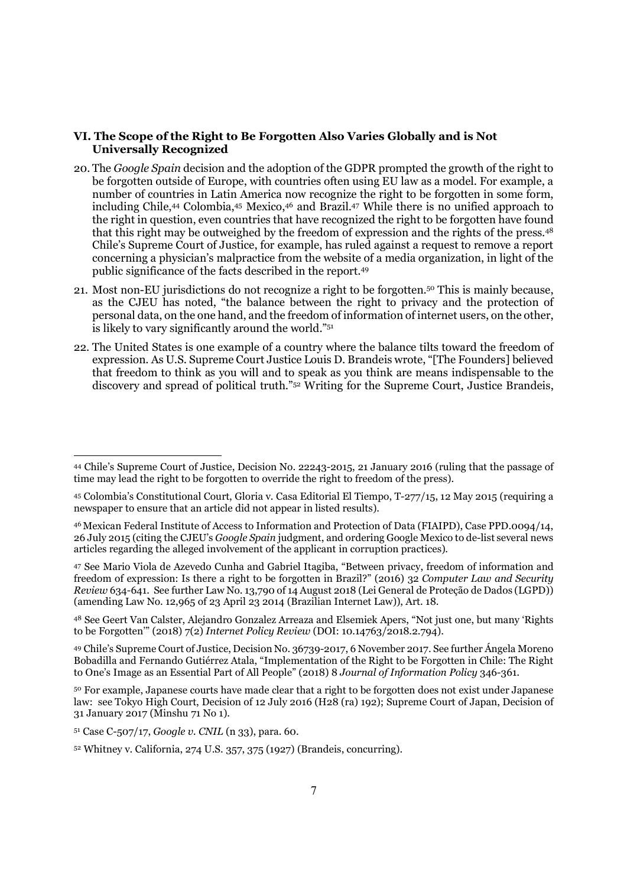#### VI. The Scope of the Right to Be Forgotten Also Varies Globally and is Not Universally Recognized

- 20. The Google Spain decision and the adoption of the GDPR prompted the growth of the right to be forgotten outside of Europe, with countries often using EU law as a model. For example, a number of countries in Latin America now recognize the right to be forgotten in some form, including Chile,44 Colombia,45 Mexico,46 and Brazil.47 While there is no unified approach to the right in question, even countries that have recognized the right to be forgotten have found that this right may be outweighed by the freedom of expression and the rights of the press.<sup>48</sup> Chile's Supreme Court of Justice, for example, has ruled against a request to remove a report concerning a physician's malpractice from the website of a media organization, in light of the public significance of the facts described in the report.<sup>49</sup>
- 21. Most non-EU jurisdictions do not recognize a right to be forgotten.50 This is mainly because, as the CJEU has noted, "the balance between the right to privacy and the protection of personal data, on the one hand, and the freedom of information of internet users, on the other, is likely to vary significantly around the world."<sup>51</sup>
- 22. The United States is one example of a country where the balance tilts toward the freedom of expression. As U.S. Supreme Court Justice Louis D. Brandeis wrote, "[The Founders] believed that freedom to think as you will and to speak as you think are means indispensable to the discovery and spread of political truth."52 Writing for the Supreme Court, Justice Brandeis,

<sup>44</sup> Chile's Supreme Court of Justice, Decision No. 22243-2015, 21 January 2016 (ruling that the passage of time may lead the right to be forgotten to override the right to freedom of the press).

<sup>45</sup> Colombia's Constitutional Court, Gloria v. Casa Editorial El Tiempo, T-277/15, 12 May 2015 (requiring a newspaper to ensure that an article did not appear in listed results).

<sup>46</sup>Mexican Federal Institute of Access to Information and Protection of Data (FIAIPD), Case PPD.0094/14, 26 July 2015 (citing the CJEU's Google Spain judgment, and ordering Google Mexico to de-list several news articles regarding the alleged involvement of the applicant in corruption practices).

<sup>47</sup> See Mario Viola de Azevedo Cunha and Gabriel Itagiba, "Between privacy, freedom of information and freedom of expression: Is there a right to be forgotten in Brazil?" (2016) 32 Computer Law and Security Review 634-641. See further Law No. 13,790 of 14 August 2018 (Lei General de Proteção de Dados (LGPD)) (amending Law No. 12,965 of 23 April 23 2014 (Brazilian Internet Law)), Art. 18.

<sup>48</sup> See Geert Van Calster, Alejandro Gonzalez Arreaza and Elsemiek Apers, "Not just one, but many 'Rights to be Forgotten'" (2018) 7(2) Internet Policy Review (DOI: 10.14763/2018.2.794).

<sup>49</sup> Chile's Supreme Court of Justice, Decision No. 36739-2017, 6 November 2017. See further Ángela Moreno Bobadilla and Fernando Gutiérrez Atala, "Implementation of the Right to be Forgotten in Chile: The Right to One's Image as an Essential Part of All People" (2018) 8 Journal of Information Policy 346-361.

<sup>50</sup> For example, Japanese courts have made clear that a right to be forgotten does not exist under Japanese law: see Tokyo High Court, Decision of 12 July 2016 (H28 (ra) 192); Supreme Court of Japan, Decision of 31 January 2017 (Minshu 71 No 1).

<sup>51</sup> Case C-507/17, Google v. CNIL (n 33), para. 60.

<sup>52</sup> Whitney v. California, 274 U.S. 357, 375 (1927) (Brandeis, concurring).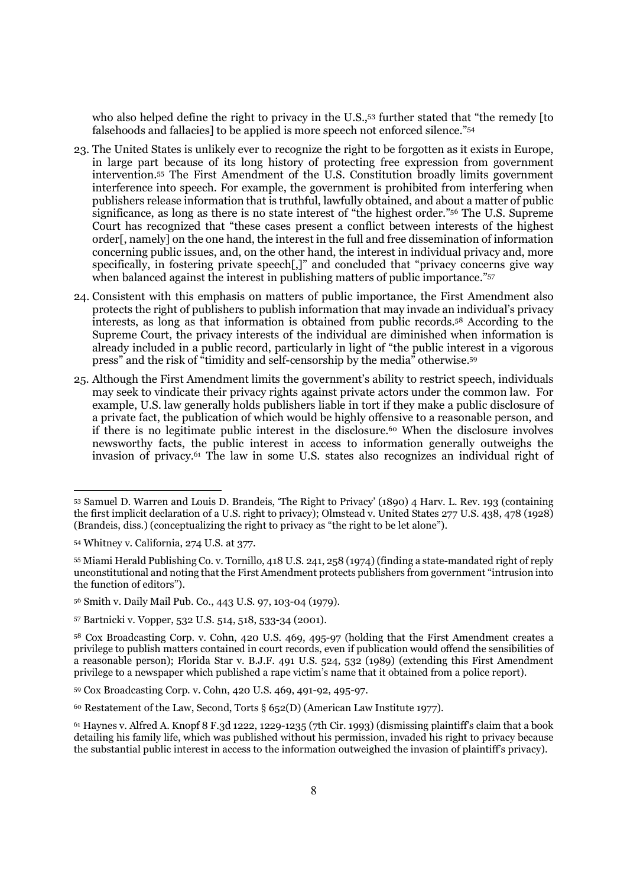who also helped define the right to privacy in the U.S.,<sup>53</sup> further stated that "the remedy [to falsehoods and fallacies] to be applied is more speech not enforced silence."<sup>54</sup>

- 23. The United States is unlikely ever to recognize the right to be forgotten as it exists in Europe, in large part because of its long history of protecting free expression from government intervention.55 The First Amendment of the U.S. Constitution broadly limits government interference into speech. For example, the government is prohibited from interfering when publishers release information that is truthful, lawfully obtained, and about a matter of public significance, as long as there is no state interest of "the highest order."56 The U.S. Supreme Court has recognized that "these cases present a conflict between interests of the highest order[, namely] on the one hand, the interest in the full and free dissemination of information concerning public issues, and, on the other hand, the interest in individual privacy and, more specifically, in fostering private speech[,]" and concluded that "privacy concerns give way when balanced against the interest in publishing matters of public importance."<sup>57</sup>
- 24. Consistent with this emphasis on matters of public importance, the First Amendment also protects the right of publishers to publish information that may invade an individual's privacy interests, as long as that information is obtained from public records.58 According to the Supreme Court, the privacy interests of the individual are diminished when information is already included in a public record, particularly in light of "the public interest in a vigorous press" and the risk of "timidity and self-censorship by the media" otherwise.<sup>59</sup>
- 25. Although the First Amendment limits the government's ability to restrict speech, individuals may seek to vindicate their privacy rights against private actors under the common law. For example, U.S. law generally holds publishers liable in tort if they make a public disclosure of a private fact, the publication of which would be highly offensive to a reasonable person, and if there is no legitimate public interest in the disclosure.<sup>60</sup> When the disclosure involves newsworthy facts, the public interest in access to information generally outweighs the invasion of privacy.61 The law in some U.S. states also recognizes an individual right of

<sup>53</sup> Samuel D. Warren and Louis D. Brandeis, 'The Right to Privacy' (1890) 4 Harv. L. Rev. 193 (containing the first implicit declaration of a U.S. right to privacy); Olmstead v. United States 277 U.S. 438, 478 (1928) (Brandeis, diss.) (conceptualizing the right to privacy as "the right to be let alone").

<sup>54</sup> Whitney v. California, 274 U.S. at 377.

<sup>55</sup> Miami Herald Publishing Co. v. Tornillo, 418 U.S. 241, 258 (1974) (finding a state-mandated right of reply unconstitutional and noting that the First Amendment protects publishers from government "intrusion into the function of editors").

<sup>56</sup> Smith v. Daily Mail Pub. Co., 443 U.S. 97, 103-04 (1979).

<sup>57</sup> Bartnicki v. Vopper, 532 U.S. 514, 518, 533-34 (2001).

<sup>58</sup> Cox Broadcasting Corp. v. Cohn, 420 U.S. 469, 495-97 (holding that the First Amendment creates a privilege to publish matters contained in court records, even if publication would offend the sensibilities of a reasonable person); Florida Star v. B.J.F. 491 U.S. 524, 532 (1989) (extending this First Amendment privilege to a newspaper which published a rape victim's name that it obtained from a police report).

<sup>59</sup> Cox Broadcasting Corp. v. Cohn, 420 U.S. 469, 491-92, 495-97.

<sup>60</sup> Restatement of the Law, Second, Torts § 652(D) (American Law Institute 1977).

<sup>61</sup> Haynes v. Alfred A. Knopf 8 F.3d 1222, 1229-1235 (7th Cir. 1993) (dismissing plaintiff's claim that a book detailing his family life, which was published without his permission, invaded his right to privacy because the substantial public interest in access to the information outweighed the invasion of plaintiff's privacy).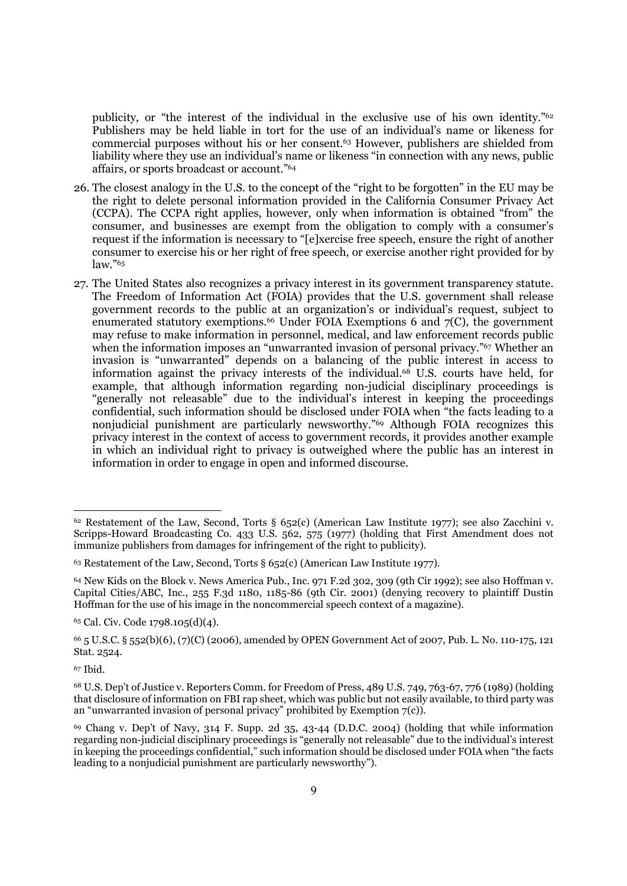publicity, or "the interest of the individual in the exclusive use of his own identity."<sup>62</sup> Publishers may be held liable in tort for the use of an individual's name or likeness for commercial purposes without his or her consent.63 However, publishers are shielded from liability where they use an individual's name or likeness "in connection with any news, public affairs, or sports broadcast or account."<sup>64</sup>

- 26. The closest analogy in the U.S. to the concept of the "right to be forgotten" in the EU may be the right to delete personal information provided in the California Consumer Privacy Act (CCPA). The CCPA right applies, however, only when information is obtained "from" the consumer, and businesses are exempt from the obligation to comply with a consumer's request if the information is necessary to "[e]xercise free speech, ensure the right of another consumer to exercise his or her right of free speech, or exercise another right provided for by  $law.$ "65
- 27. The United States also recognizes a privacy interest in its government transparency statute. The Freedom of Information Act (FOIA) provides that the U.S. government shall release government records to the public at an organization's or individual's request, subject to enumerated statutory exemptions.<sup>66</sup> Under FOIA Exemptions 6 and  $7(C)$ , the government may refuse to make information in personnel, medical, and law enforcement records public when the information imposes an "unwarranted invasion of personal privacy."<sup>67</sup> Whether an invasion is "unwarranted" depends on a balancing of the public interest in access to information against the privacy interests of the individual.<sup>68</sup> U.S. courts have held, for example, that although information regarding non-judicial disciplinary proceedings is "generally not releasable" due to the individual's interest in keeping the proceedings confidential, such information should be disclosed under FOIA when "the facts leading to a nonjudicial punishment are particularly newsworthy."69 Although FOIA recognizes this privacy interest in the context of access to government records, it provides another example in which an individual right to privacy is outweighed where the public has an interest in information in order to engage in open and informed discourse.

<sup>65</sup> Cal. Civ. Code 1798.105(d)(4).

<sup>67</sup> Ibid.

<sup>62</sup> Restatement of the Law, Second, Torts § 652(c) (American Law Institute 1977); see also Zacchini v. Scripps-Howard Broadcasting Co. 433 U.S. 562, 575 (1977) (holding that First Amendment does not immunize publishers from damages for infringement of the right to publicity).

<sup>63</sup> Restatement of the Law, Second, Torts § 652(c) (American Law Institute 1977).

<sup>64</sup> New Kids on the Block v. News America Pub., Inc. 971 F.2d 302, 309 (9th Cir 1992); see also Hoffman v. Capital Cities/ABC, Inc., 255 F.3d 1180, 1185-86 (9th Cir. 2001) (denying recovery to plaintiff Dustin Hoffman for the use of his image in the noncommercial speech context of a magazine).

<sup>66</sup> 5 U.S.C. § 552(b)(6), (7)(C) (2006), amended by OPEN Government Act of 2007, Pub. L. No. 110-175, 121 Stat. 2524.

<sup>68</sup> U.S. Dep't of Justice v. Reporters Comm. for Freedom of Press, 489 U.S. 749, 763-67, 776 (1989) (holding that disclosure of information on FBI rap sheet, which was public but not easily available, to third party was an "unwarranted invasion of personal privacy" prohibited by Exemption  $7(c)$ ).

<sup>69</sup> Chang v. Dep't of Navy, 314 F. Supp. 2d 35, 43-44 (D.D.C. 2004) (holding that while information regarding non-judicial disciplinary proceedings is "generally not releasable" due to the individual's interest in keeping the proceedings confidential," such information should be disclosed under FOIA when "the facts leading to a nonjudicial punishment are particularly newsworthy").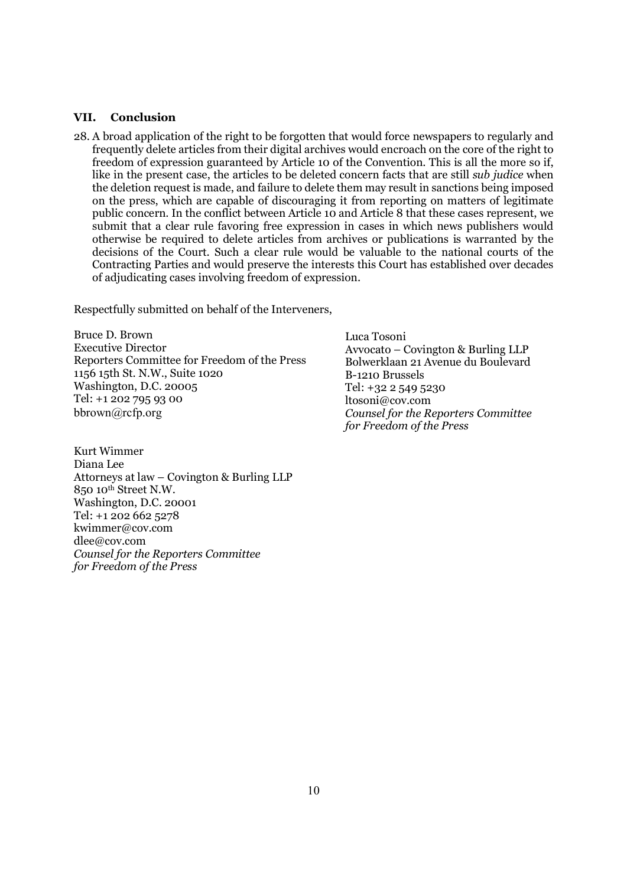#### VII. Conclusion

28. A broad application of the right to be forgotten that would force newspapers to regularly and frequently delete articles from their digital archives would encroach on the core of the right to freedom of expression guaranteed by Article 10 of the Convention. This is all the more so if, like in the present case, the articles to be deleted concern facts that are still sub judice when the deletion request is made, and failure to delete them may result in sanctions being imposed on the press, which are capable of discouraging it from reporting on matters of legitimate public concern. In the conflict between Article 10 and Article 8 that these cases represent, we submit that a clear rule favoring free expression in cases in which news publishers would otherwise be required to delete articles from archives or publications is warranted by the decisions of the Court. Such a clear rule would be valuable to the national courts of the Contracting Parties and would preserve the interests this Court has established over decades of adjudicating cases involving freedom of expression.

Respectfully submitted on behalf of the Interveners,

Bruce D. Brown Executive Director Reporters Committee for Freedom of the Press 1156 15th St. N.W., Suite 1020 Washington, D.C. 20005 Tel: +1 202 795 93 00 bbrown@rcfp.org

Kurt Wimmer Diana Lee Attorneys at law – Covington & Burling LLP 850 10th Street N.W. Washington, D.C. 20001 Tel: +1 202 662 5278 kwimmer@cov.com dlee@cov.com Counsel for the Reporters Committee for Freedom of the Press

Luca Tosoni Avvocato – Covington & Burling LLP Bolwerklaan 21 Avenue du Boulevard B-1210 Brussels Tel: +32 2 549 5230 ltosoni@cov.com Counsel for the Reporters Committee for Freedom of the Press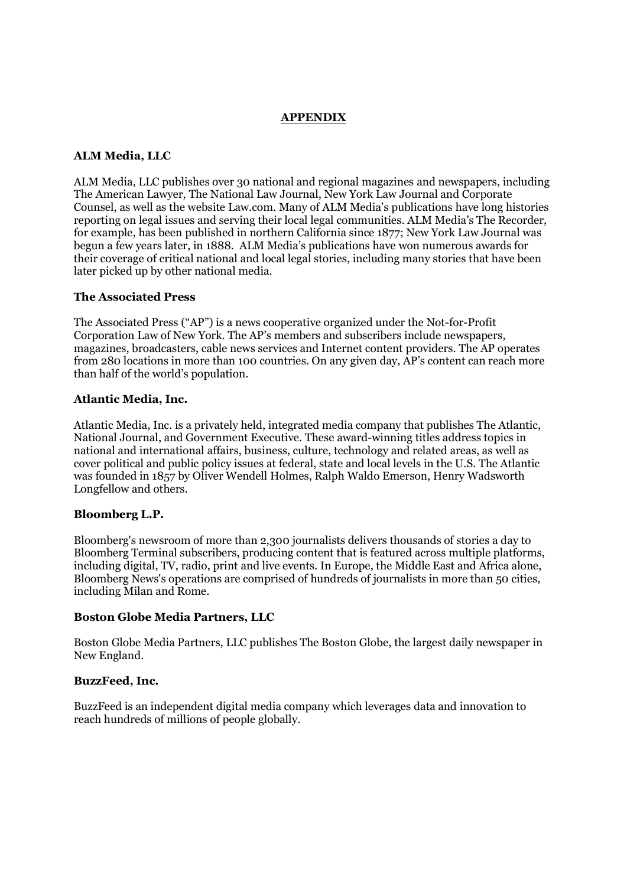## APPENDIX

#### ALM Media, LLC

ALM Media, LLC publishes over 30 national and regional magazines and newspapers, including The American Lawyer, The National Law Journal, New York Law Journal and Corporate Counsel, as well as the website Law.com. Many of ALM Media's publications have long histories reporting on legal issues and serving their local legal communities. ALM Media's The Recorder, for example, has been published in northern California since 1877; New York Law Journal was begun a few years later, in 1888. ALM Media's publications have won numerous awards for their coverage of critical national and local legal stories, including many stories that have been later picked up by other national media.

#### The Associated Press

The Associated Press ("AP") is a news cooperative organized under the Not-for-Profit Corporation Law of New York. The AP's members and subscribers include newspapers, magazines, broadcasters, cable news services and Internet content providers. The AP operates from 280 locations in more than 100 countries. On any given day, AP's content can reach more than half of the world's population.

#### Atlantic Media, Inc.

Atlantic Media, Inc. is a privately held, integrated media company that publishes The Atlantic, National Journal, and Government Executive. These award-winning titles address topics in national and international affairs, business, culture, technology and related areas, as well as cover political and public policy issues at federal, state and local levels in the U.S. The Atlantic was founded in 1857 by Oliver Wendell Holmes, Ralph Waldo Emerson, Henry Wadsworth Longfellow and others.

#### Bloomberg L.P.

Bloomberg's newsroom of more than 2,300 journalists delivers thousands of stories a day to Bloomberg Terminal subscribers, producing content that is featured across multiple platforms, including digital, TV, radio, print and live events. In Europe, the Middle East and Africa alone, Bloomberg News's operations are comprised of hundreds of journalists in more than 50 cities, including Milan and Rome.

#### Boston Globe Media Partners, LLC

Boston Globe Media Partners, LLC publishes The Boston Globe, the largest daily newspaper in New England.

#### BuzzFeed, Inc.

BuzzFeed is an independent digital media company which leverages data and innovation to reach hundreds of millions of people globally.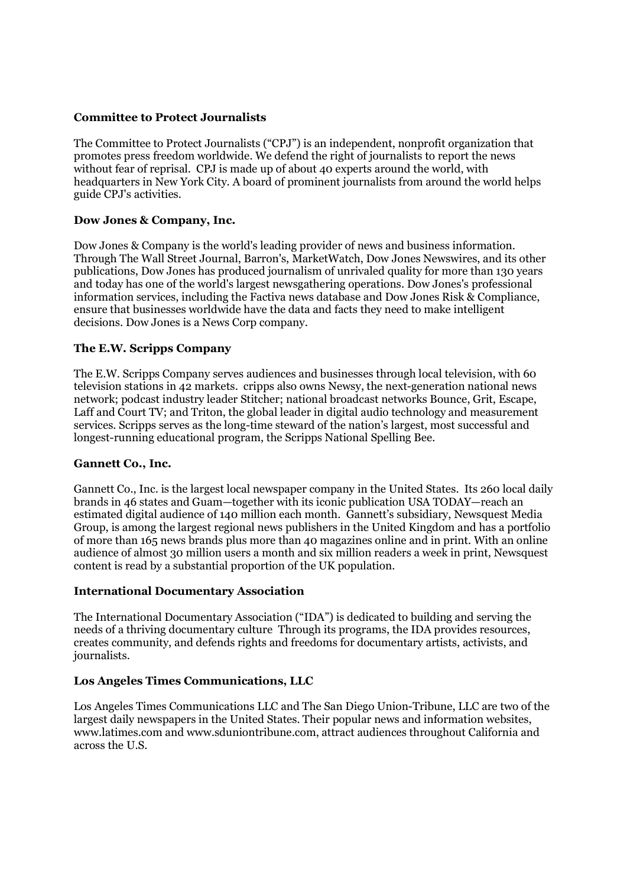#### Committee to Protect Journalists

The Committee to Protect Journalists ("CPJ") is an independent, nonprofit organization that promotes press freedom worldwide. We defend the right of journalists to report the news without fear of reprisal. CPJ is made up of about 40 experts around the world, with headquarters in New York City. A board of prominent journalists from around the world helps guide CPJ's activities.

## Dow Jones & Company, Inc.

Dow Jones & Company is the world's leading provider of news and business information. Through The Wall Street Journal, Barron's, MarketWatch, Dow Jones Newswires, and its other publications, Dow Jones has produced journalism of unrivaled quality for more than 130 years and today has one of the world's largest newsgathering operations. Dow Jones's professional information services, including the Factiva news database and Dow Jones Risk & Compliance, ensure that businesses worldwide have the data and facts they need to make intelligent decisions. Dow Jones is a News Corp company.

#### The E.W. Scripps Company

The E.W. Scripps Company serves audiences and businesses through local television, with 60 television stations in 42 markets. cripps also owns Newsy, the next-generation national news network; podcast industry leader Stitcher; national broadcast networks Bounce, Grit, Escape, Laff and Court TV; and Triton, the global leader in digital audio technology and measurement services. Scripps serves as the long-time steward of the nation's largest, most successful and longest-running educational program, the Scripps National Spelling Bee.

#### Gannett Co., Inc.

Gannett Co., Inc. is the largest local newspaper company in the United States. Its 260 local daily brands in 46 states and Guam—together with its iconic publication USA TODAY—reach an estimated digital audience of 140 million each month. Gannett's subsidiary, Newsquest Media Group, is among the largest regional news publishers in the United Kingdom and has a portfolio of more than 165 news brands plus more than 40 magazines online and in print. With an online audience of almost 30 million users a month and six million readers a week in print, Newsquest content is read by a substantial proportion of the UK population.

#### International Documentary Association

The International Documentary Association ("IDA") is dedicated to building and serving the needs of a thriving documentary culture Through its programs, the IDA provides resources, creates community, and defends rights and freedoms for documentary artists, activists, and journalists.

## Los Angeles Times Communications, LLC

Los Angeles Times Communications LLC and The San Diego Union-Tribune, LLC are two of the largest daily newspapers in the United States. Their popular news and information websites, www.latimes.com and www.sduniontribune.com, attract audiences throughout California and across the U.S.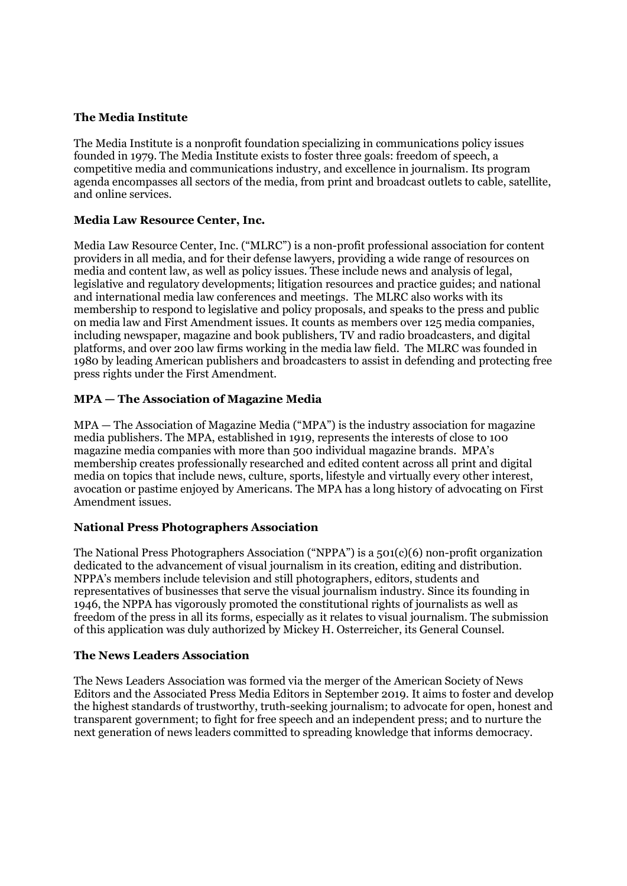## The Media Institute

The Media Institute is a nonprofit foundation specializing in communications policy issues founded in 1979. The Media Institute exists to foster three goals: freedom of speech, a competitive media and communications industry, and excellence in journalism. Its program agenda encompasses all sectors of the media, from print and broadcast outlets to cable, satellite, and online services.

# Media Law Resource Center, Inc.

Media Law Resource Center, Inc. ("MLRC") is a non-profit professional association for content providers in all media, and for their defense lawyers, providing a wide range of resources on media and content law, as well as policy issues. These include news and analysis of legal, legislative and regulatory developments; litigation resources and practice guides; and national and international media law conferences and meetings. The MLRC also works with its membership to respond to legislative and policy proposals, and speaks to the press and public on media law and First Amendment issues. It counts as members over 125 media companies, including newspaper, magazine and book publishers, TV and radio broadcasters, and digital platforms, and over 200 law firms working in the media law field. The MLRC was founded in 1980 by leading American publishers and broadcasters to assist in defending and protecting free press rights under the First Amendment.

# MPA — The Association of Magazine Media

MPA — The Association of Magazine Media ("MPA") is the industry association for magazine media publishers. The MPA, established in 1919, represents the interests of close to 100 magazine media companies with more than 500 individual magazine brands. MPA's membership creates professionally researched and edited content across all print and digital media on topics that include news, culture, sports, lifestyle and virtually every other interest, avocation or pastime enjoyed by Americans. The MPA has a long history of advocating on First Amendment issues.

## National Press Photographers Association

The National Press Photographers Association ("NPPA") is a 501(c)(6) non-profit organization dedicated to the advancement of visual journalism in its creation, editing and distribution. NPPA's members include television and still photographers, editors, students and representatives of businesses that serve the visual journalism industry. Since its founding in 1946, the NPPA has vigorously promoted the constitutional rights of journalists as well as freedom of the press in all its forms, especially as it relates to visual journalism. The submission of this application was duly authorized by Mickey H. Osterreicher, its General Counsel.

## The News Leaders Association

The News Leaders Association was formed via the merger of the American Society of News Editors and the Associated Press Media Editors in September 2019. It aims to foster and develop the highest standards of trustworthy, truth-seeking journalism; to advocate for open, honest and transparent government; to fight for free speech and an independent press; and to nurture the next generation of news leaders committed to spreading knowledge that informs democracy.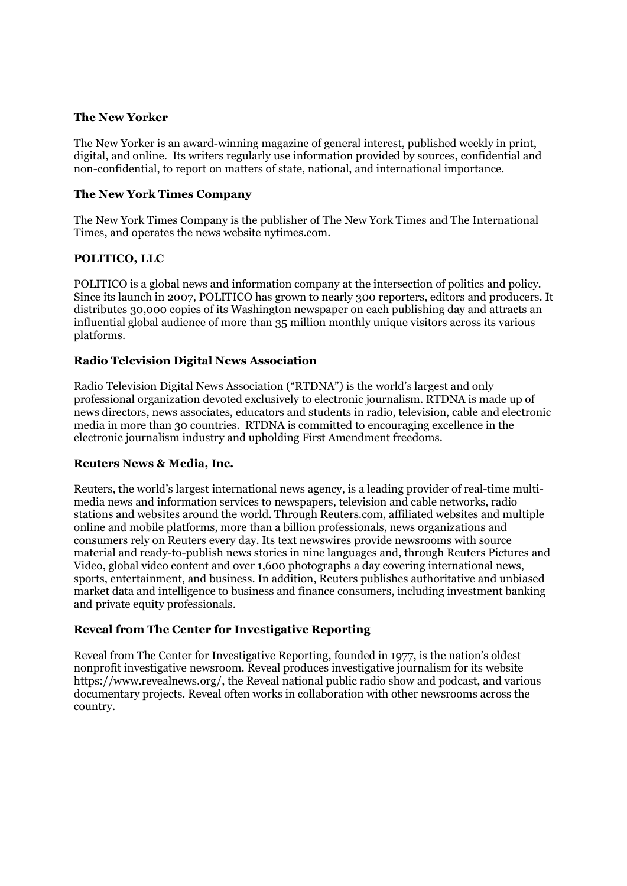#### The New Yorker

The New Yorker is an award-winning magazine of general interest, published weekly in print, digital, and online. Its writers regularly use information provided by sources, confidential and non-confidential, to report on matters of state, national, and international importance.

## The New York Times Company

The New York Times Company is the publisher of The New York Times and The International Times, and operates the news website nytimes.com.

## POLITICO, LLC

POLITICO is a global news and information company at the intersection of politics and policy. Since its launch in 2007, POLITICO has grown to nearly 300 reporters, editors and producers. It distributes 30,000 copies of its Washington newspaper on each publishing day and attracts an influential global audience of more than 35 million monthly unique visitors across its various platforms.

## Radio Television Digital News Association

Radio Television Digital News Association ("RTDNA") is the world's largest and only professional organization devoted exclusively to electronic journalism. RTDNA is made up of news directors, news associates, educators and students in radio, television, cable and electronic media in more than 30 countries. RTDNA is committed to encouraging excellence in the electronic journalism industry and upholding First Amendment freedoms.

## Reuters News & Media, Inc.

Reuters, the world's largest international news agency, is a leading provider of real-time multimedia news and information services to newspapers, television and cable networks, radio stations and websites around the world. Through Reuters.com, affiliated websites and multiple online and mobile platforms, more than a billion professionals, news organizations and consumers rely on Reuters every day. Its text newswires provide newsrooms with source material and ready-to-publish news stories in nine languages and, through Reuters Pictures and Video, global video content and over 1,600 photographs a day covering international news, sports, entertainment, and business. In addition, Reuters publishes authoritative and unbiased market data and intelligence to business and finance consumers, including investment banking and private equity professionals.

## Reveal from The Center for Investigative Reporting

Reveal from The Center for Investigative Reporting, founded in 1977, is the nation's oldest nonprofit investigative newsroom. Reveal produces investigative journalism for its website https://www.revealnews.org/, the Reveal national public radio show and podcast, and various documentary projects. Reveal often works in collaboration with other newsrooms across the country.